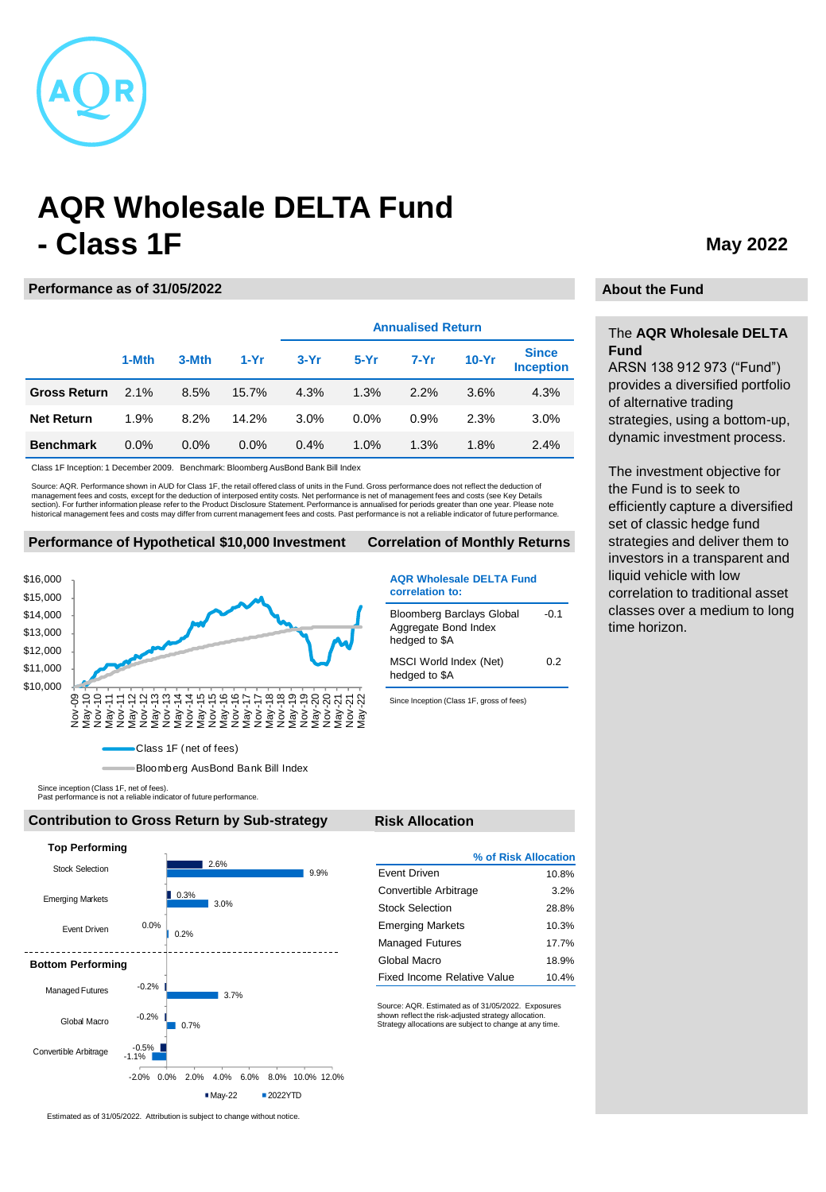

# **AQR Wholesale DELTA Fund - Class 1F**

#### **Performance as of 31/05/2022**

|                     |         |       |         | <b>Annualised Return</b> |         |        |         |                                  |
|---------------------|---------|-------|---------|--------------------------|---------|--------|---------|----------------------------------|
|                     | 1-Mth   | 3-Mth | $1-Yr$  | $3-Yr$                   | $5-Yr$  | $7-Yr$ | $10-Yr$ | <b>Since</b><br><b>Inception</b> |
| <b>Gross Return</b> | 2.1%    | 8.5%  | 15.7%   | 4.3%                     | 1.3%    | 2.2%   | 3.6%    | 4.3%                             |
| <b>Net Return</b>   | 1.9%    | 8.2%  | 14.2%   | 3.0%                     | $0.0\%$ | 0.9%   | 2.3%    | 3.0%                             |
| <b>Benchmark</b>    | $0.0\%$ | 0.0%  | $0.0\%$ | 0.4%                     | 1.0%    | 1.3%   | 1.8%    | 2.4%                             |

Class 1F Inception: 1 December 2009. Benchmark: Bloomberg AusBond Bank Bill Index

Source: AQR. Performance shown in AUD for Class 1F, the retail offered class of units in the Fund. Gross performance does not reflect the deduction of management fees and costs, except for the deduction of interposed entity costs. Net performance is net of management fees and costs (see Key Details<br>section). For further information please refer to the Product Disclosure historical management fees and costs may differ from current management fees and costs. Past performance is not a reliable indicator of future performance.

#### **Performance of Hypothetical \$10,000 Investment Correlation of Monthly Returns**



Bloomberg AusBond Bank Bill Index

Since inception (Class 1F, net of fees). Past performance is not a reliable indicator of future performance.

#### **Contribution to Gross Return by Sub-strategy Risk Allocation**



|                             | % of Risk Allocation |
|-----------------------------|----------------------|
| <b>Fvent Driven</b>         | 10.8%                |
| Convertible Arbitrage       | 3.2%                 |
| Stock Selection             | 28.8%                |
| <b>Emerging Markets</b>     | 10.3%                |
| <b>Managed Futures</b>      | 177%                 |
| Global Macro                | 18.9%                |
| Fixed Income Relative Value | 10.4%                |

**AQR Wholesale DELTA Fund** 

 $-0.1$ 

0.2

Bloomberg Barclays Global Aggregate Bond Index hedged to \$A

MSCI World Index (Net) hedged to \$A

Since Inception (Class 1F, gross of fees)

**correlation to:**

Source: AQR. Estimated as of 31/05/2022. Exposures shown reflect the risk-adjusted strategy allocation. Strategy allocations are subject to change at any time.

## **May 2022**

#### **About the Fund**

### The **AQR Wholesale DELTA Fund**

ARSN 138 912 973 ("Fund") provides a diversified portfolio of alternative trading strategies, using a bottom-up, dynamic investment process.

The investment objective for the Fund is to seek to efficiently capture a diversified set of classic hedge fund strategies and deliver them to investors in a transparent and liquid vehicle with low correlation to traditional asset classes over a medium to long time horizon.

Estimated as of 31/05/2022. Attribution is subject to change without notice.